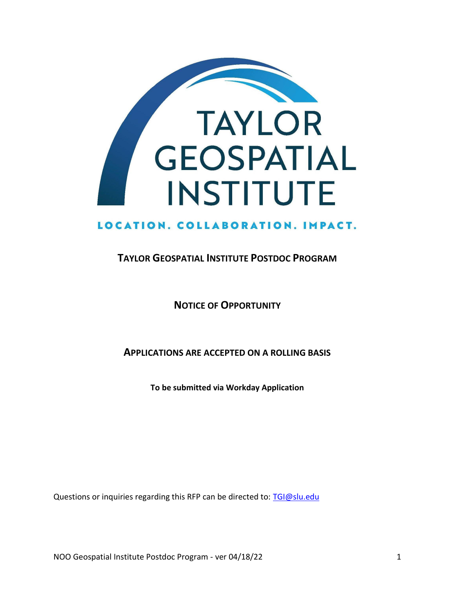

## LOCATION. COLLABORATION. IMPACT.

### **TAYLOR GEOSPATIAL INSTITUTE POSTDOC PROGRAM**

**NOTICE OF OPPORTUNITY**

**APPLICATIONS ARE ACCEPTED ON A ROLLING BASIS**

**To be submitted via Workday Application** 

Questions or inquiries regarding this RFP can be directed to: [TGI@slu.edu](mailto:TGI@slu.edu)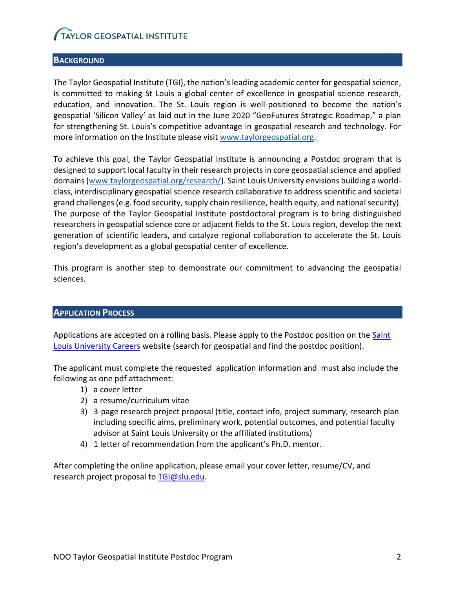#### **BACKGROUND**

The Taylor Geospatial Institute (TGI), the nation's leading academic center for geospatial science, is committed to making St Louis a global center of excellence in geospatial science research, education, and innovation. The St. Louis region is well-positioned to become the nation's geospatial 'Silicon Valley' as laid out in the June 2020 "GeoFutures Strategic Roadmap," a plan for strengthening St. Louis's competitive advantage in geospatial research and technology. For more information on the Institute please visit [www.taylorgeospatial.org.](http://www.taylorgeospatial.org/)

To achieve this goal, the Taylor Geospatial Institute is announcing a Postdoc program that is designed to support local faculty in their research projects in core geospatial science and applied domains [\(www.taylorgeospatial.org/research/\)](http://www.taylorgeospatial.org/research/). Saint Louis University envisions building a worldclass, interdisciplinary geospatial science research collaborative to address scientific and societal grand challenges (e.g. food security, supply chain resilience, health equity, and national security). The purpose of the Taylor Geospatial Institute postdoctoral program is to bring distinguished researchers in geospatial science core or adjacent fields to the St. Louis region, develop the next generation of scientific leaders, and catalyze regional collaboration to accelerate the St. Louis region's development as a global geospatial center of excellence.

This program is another step to demonstrate our commitment to advancing the geospatial sciences.

#### **APPLICATION PROCESS**

Applications are accepted on a rolling basis. Please apply to the Postdoc position on the Saint [Louis University Careers](https://slu.wd5.myworkdayjobs.com/Careers) website (search for geospatial and find the postdoc position).

The applicant must complete the requested application information and must also include the following as one pdf attachment:

- 1) a cover letter
- 2) a resume/curriculum vitae
- 3) 3-page research project proposal (title, contact info, project summary, research plan including specific aims, preliminary work, potential outcomes, and potential faculty advisor at Saint Louis University or the affiliated institutions)
- 4) 1 letter of recommendation from the applicant's Ph.D. mentor.

After completing the online application, please email your cover letter, resume/CV, and research project proposal to [TGI@slu.edu.](mailto:TGI@slu.edu)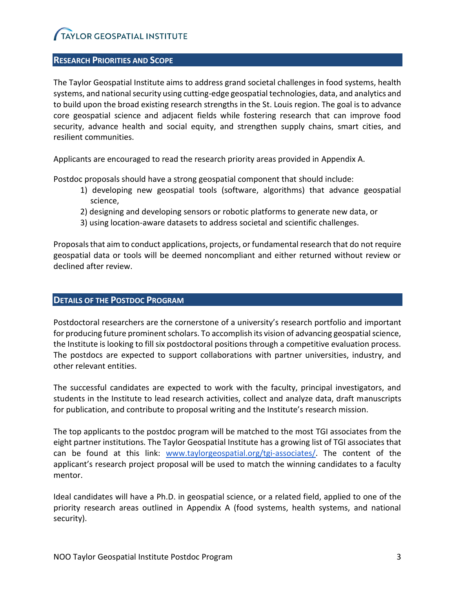#### **RESEARCH PRIORITIES AND SCOPE**

The Taylor Geospatial Institute aims to address grand societal challenges in food systems, health systems, and national security using cutting-edge geospatial technologies, data, and analytics and to build upon the broad existing research strengths in the St. Louis region. The goal is to advance core geospatial science and adjacent fields while fostering research that can improve food security, advance health and social equity, and strengthen supply chains, smart cities, and resilient communities.

Applicants are encouraged to read the research priority areas provided in Appendix A.

Postdoc proposals should have a strong geospatial component that should include:

- 1) developing new geospatial tools (software, algorithms) that advance geospatial science,
- 2) designing and developing sensors or robotic platforms to generate new data, or
- 3) using location-aware datasets to address societal and scientific challenges.

Proposals that aim to conduct applications, projects, or fundamental research that do not require geospatial data or tools will be deemed noncompliant and either returned without review or declined after review.

#### **DETAILS OF THE POSTDOC PROGRAM**

Postdoctoral researchers are the cornerstone of a university's research portfolio and important for producing future prominent scholars. To accomplish its vision of advancing geospatial science, the Institute is looking to fill six postdoctoral positions through a competitive evaluation process. The postdocs are expected to support collaborations with partner universities, industry, and other relevant entities.

The successful candidates are expected to work with the faculty, principal investigators, and students in the Institute to lead research activities, collect and analyze data, draft manuscripts for publication, and contribute to proposal writing and the Institute's research mission.

The top applicants to the postdoc program will be matched to the most TGI associates from the eight partner institutions. The Taylor Geospatial Institute has a growing list of TGI associates that can be found at this link: [www.taylorgeospatial.org/tgi-associates/.](http://www.taylorgeospatial.org/tgi-associates/) The content of the applicant's research project proposal will be used to match the winning candidates to a faculty mentor.

Ideal candidates will have a Ph.D. in geospatial science, or a related field, applied to one of the priority research areas outlined in Appendix A (food systems, health systems, and national security).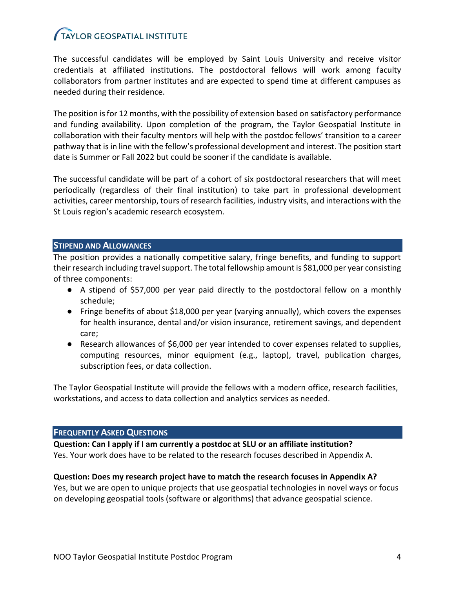The successful candidates will be employed by Saint Louis University and receive visitor credentials at affiliated institutions. The postdoctoral fellows will work among faculty collaborators from partner institutes and are expected to spend time at different campuses as needed during their residence.

The position is for 12 months, with the possibility of extension based on satisfactory performance and funding availability. Upon completion of the program, the Taylor Geospatial Institute in collaboration with their faculty mentors will help with the postdoc fellows' transition to a career pathway that is in line with the fellow's professional development and interest. The position start date is Summer or Fall 2022 but could be sooner if the candidate is available.

The successful candidate will be part of a cohort of six postdoctoral researchers that will meet periodically (regardless of their final institution) to take part in professional development activities, career mentorship, tours of research facilities, industry visits, and interactions with the St Louis region's academic research ecosystem.

#### **STIPEND AND ALLOWANCES**

The position provides a nationally competitive salary, fringe benefits, and funding to support their research including travel support. The total fellowship amount is \$81,000 per year consisting of three components:

- A stipend of \$57,000 per year paid directly to the postdoctoral fellow on a monthly schedule;
- Fringe benefits of about \$18,000 per year (varying annually), which covers the expenses for health insurance, dental and/or vision insurance, retirement savings, and dependent care;
- Research allowances of \$6,000 per year intended to cover expenses related to supplies, computing resources, minor equipment (e.g., laptop), travel, publication charges, subscription fees, or data collection.

The Taylor Geospatial Institute will provide the fellows with a modern office, research facilities, workstations, and access to data collection and analytics services as needed.

#### **FREQUENTLY ASKED QUESTIONS**

**Question: Can I apply if I am currently a postdoc at SLU or an affiliate institution?**  Yes. Your work does have to be related to the research focuses described in Appendix A.

#### **Question: Does my research project have to match the research focuses in Appendix A?**

Yes, but we are open to unique projects that use geospatial technologies in novel ways or focus on developing geospatial tools (software or algorithms) that advance geospatial science.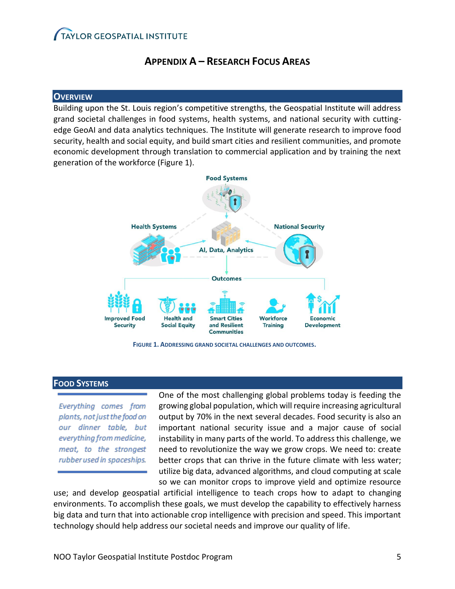### **APPENDIX A – RESEARCH FOCUS AREAS**

#### **OVERVIEW**

Building upon the St. Louis region's competitive strengths, the Geospatial Institute will address grand societal challenges in food systems, health systems, and national security with cuttingedge GeoAI and data analytics techniques. The Institute will generate research to improve food security, health and social equity, and build smart cities and resilient communities, and promote economic development through translation to commercial application and by training the next generation of the workforce (Figure 1).





#### **FOOD SYSTEMS**

Everything comes from plants, not just the food on our dinner table, but everything from medicine, meat, to the strongest rubber used in spaceships. One of the most challenging global problems today is feeding the growing global population, which will require increasing agricultural output by 70% in the next several decades. Food security is also an important national security issue and a major cause of social instability in many parts of the world. To address this challenge, we need to revolutionize the way we grow crops. We need to: create better crops that can thrive in the future climate with less water; utilize big data, advanced algorithms, and cloud computing at scale so we can monitor crops to improve yield and optimize resource

use; and develop geospatial artificial intelligence to teach crops how to adapt to changing environments. To accomplish these goals, we must develop the capability to effectively harness big data and turn that into actionable crop intelligence with precision and speed. This important technology should help address our societal needs and improve our quality of life.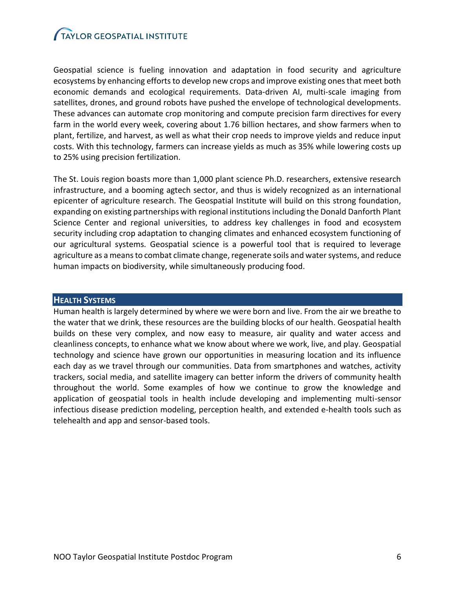Geospatial science is fueling innovation and adaptation in food security and agriculture ecosystems by enhancing efforts to develop new crops and improve existing ones that meet both economic demands and ecological requirements. Data-driven AI, multi-scale imaging from satellites, drones, and ground robots have pushed the envelope of technological developments. These advances can automate crop monitoring and compute precision farm directives for every farm in the world every week, covering about 1.76 billion hectares, and show farmers when to plant, fertilize, and harvest, as well as what their crop needs to improve yields and reduce input costs. With this technology, farmers can increase yields as much as 35% while lowering costs up to 25% using precision fertilization.

The St. Louis region boasts more than 1,000 plant science Ph.D. researchers, extensive research infrastructure, and a booming agtech sector, and thus is widely recognized as an international epicenter of agriculture research. The Geospatial Institute will build on this strong foundation, expanding on existing partnerships with regional institutions including the Donald Danforth Plant Science Center and regional universities, to address key challenges in food and ecosystem security including crop adaptation to changing climates and enhanced ecosystem functioning of our agricultural systems. Geospatial science is a powerful tool that is required to leverage agriculture as a means to combat climate change, regenerate soils and water systems, and reduce human impacts on biodiversity, while simultaneously producing food.

#### **HEALTH SYSTEMS**

Human health is largely determined by where we were born and live. From the air we breathe to the water that we drink, these resources are the building blocks of our health. Geospatial health builds on these very complex, and now easy to measure, air quality and water access and cleanliness concepts, to enhance what we know about where we work, live, and play. Geospatial technology and science have grown our opportunities in measuring location and its influence each day as we travel through our communities. Data from smartphones and watches, activity trackers, social media, and satellite imagery can better inform the drivers of community health throughout the world. Some examples of how we continue to grow the knowledge and application of geospatial tools in health include developing and implementing multi-sensor infectious disease prediction modeling, perception health, and extended e-health tools such as telehealth and app and sensor-based tools.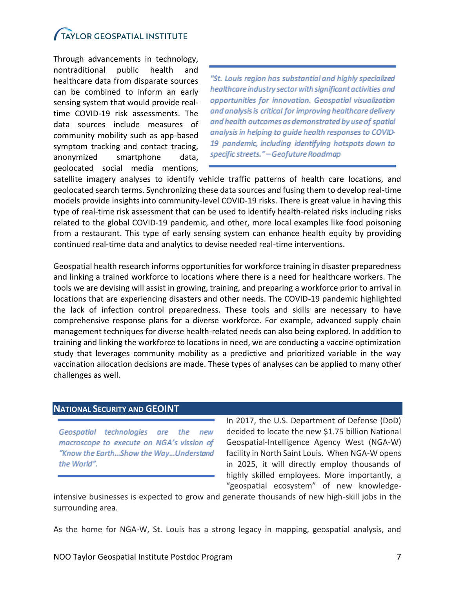Through advancements in technology, nontraditional public health and healthcare data from disparate sources can be combined to inform an early sensing system that would provide realtime COVID-19 risk assessments. The data sources include measures of community mobility such as app-based symptom tracking and contact tracing, anonymized smartphone data, geolocated social media mentions,

"St. Louis region has substantial and highly specialized healthcare industry sector with significant activities and opportunities for innovation. Geospatial visualization and analysis is critical for improving healthcare delivery and health outcomes as demonstrated by use of spatial analysis in helping to guide health responses to COVID-19 pandemic, including identifying hotspots down to specific streets." - Geofuture Roadmap

satellite imagery analyses to identify vehicle traffic patterns of health care locations, and geolocated search terms. Synchronizing these data sources and fusing them to develop real-time models provide insights into community-level COVID-19 risks. There is great value in having this type of real-time risk assessment that can be used to identify health-related risks including risks related to the global COVID-19 pandemic, and other, more local examples like food poisoning from a restaurant. This type of early sensing system can enhance health equity by providing continued real-time data and analytics to devise needed real-time interventions.

Geospatial health research informs opportunities for workforce training in disaster preparedness and linking a trained workforce to locations where there is a need for healthcare workers. The tools we are devising will assist in growing, training, and preparing a workforce prior to arrival in locations that are experiencing disasters and other needs. The COVID-19 pandemic highlighted the lack of infection control preparedness. These tools and skills are necessary to have comprehensive response plans for a diverse workforce. For example, advanced supply chain management techniques for diverse health-related needs can also being explored. In addition to training and linking the workforce to locations in need, we are conducting a vaccine optimization study that leverages community mobility as a predictive and prioritized variable in the way vaccination allocation decisions are made. These types of analyses can be applied to many other challenges as well.

#### **NATIONAL SECURITY AND GEOINT**

Geospatial technologies are the new macroscope to execute on NGA's vission of "Know the Earth...Show the Way...Understand the World".

In 2017, the U.S. Department of Defense (DoD) decided to locate the new \$1.75 billion National Geospatial-Intelligence Agency West (NGA-W) facility in North Saint Louis. When NGA-W opens in 2025, it will directly employ thousands of highly skilled employees. More importantly, a "geospatial ecosystem" of new knowledge-

intensive businesses is expected to grow and generate thousands of new high-skill jobs in the surrounding area.

As the home for NGA-W, St. Louis has a strong legacy in mapping, geospatial analysis, and